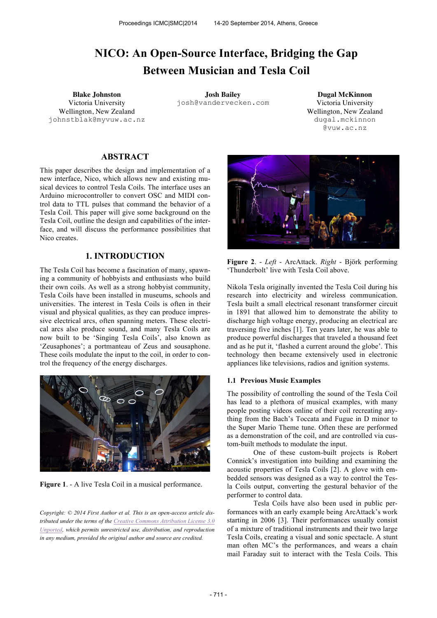# **NICO: An Open-Source Interface, Bridging the Gap Between Musician and Tesla Coil**

Victoria University Wellington, New Zealand johnstblak@myvuw.ac.nz

**Blake Johnston Josh Bailey Dugal McKinnon** josh@vandervecken.com Victoria University

Wellington, New Zealand dugal.mckinnon @vuw.ac.nz

# **ABSTRACT**

This paper describes the design and implementation of a new interface, Nico, which allows new and existing musical devices to control Tesla Coils. The interface uses an Arduino microcontroller to convert OSC and MIDI control data to TTL pulses that command the behavior of a Tesla Coil. This paper will give some background on the Tesla Coil, outline the design and capabilities of the interface, and will discuss the performance possibilities that Nico creates.

# **1. INTRODUCTION**

The Tesla Coil has become a fascination of many, spawning a community of hobbyists and enthusiasts who build their own coils. As well as a strong hobbyist community, Tesla Coils have been installed in museums, schools and universities. The interest in Tesla Coils is often in their visual and physical qualities, as they can produce impressive electrical arcs, often spanning meters. These electrical arcs also produce sound, and many Tesla Coils are now built to be 'Singing Tesla Coils', also known as 'Zeusaphones'; a portmanteau of Zeus and sousaphone. These coils modulate the input to the coil, in order to control the frequency of the energy discharges.



**Figure 1**. - A live Tesla Coil in a musical performance.

*Copyright: © 2014 First Author et al. This is an open-access article distributed under the terms of the Creative Commons Attribution License 3.0 Unported, which permits unrestricted use, distribution, and reproduction in any medium, provided the original author and source are credited.*



**Figure 2**. - *Left* - ArcAttack. *Right* - Björk performing 'Thunderbolt' live with Tesla Coil above.

Nikola Tesla originally invented the Tesla Coil during his research into electricity and wireless communication. Tesla built a small electrical resonant transformer circuit in 1891 that allowed him to demonstrate the ability to discharge high voltage energy, producing an electrical arc traversing five inches [1]. Ten years later, he was able to produce powerful discharges that traveled a thousand feet and as he put it, 'flashed a current around the globe'. This technology then became extensively used in electronic appliances like televisions, radios and ignition systems.

#### **1.1 Previous Music Examples**

The possibility of controlling the sound of the Tesla Coil has lead to a plethora of musical examples, with many people posting videos online of their coil recreating anything from the Bach's Toccata and Fugue in D minor to the Super Mario Theme tune. Often these are performed as a demonstration of the coil, and are controlled via custom-built methods to modulate the input.

One of these custom-built projects is Robert Connick's investigation into building and examining the acoustic properties of Tesla Coils [2]. A glove with embedded sensors was designed as a way to control the Tesla Coils output, converting the gestural behavior of the performer to control data.

Tesla Coils have also been used in public performances with an early example being ArcAttack's work starting in 2006 [3]. Their performances usually consist of a mixture of traditional instruments and their two large Tesla Coils, creating a visual and sonic spectacle. A stunt man often MC's the performances, and wears a chain mail Faraday suit to interact with the Tesla Coils. This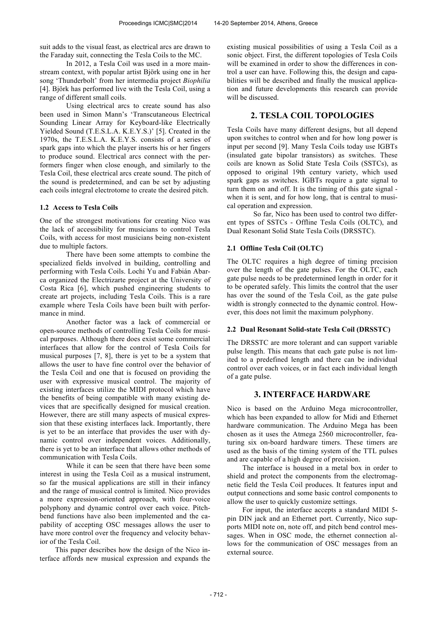suit adds to the visual feast, as electrical arcs are drawn to the Faraday suit, connecting the Tesla Coils to the MC.

In 2012, a Tesla Coil was used in a more mainstream context, with popular artist Björk using one in her song 'Thunderbolt' from her intermedia project *Biophilia* [4]. Björk has performed live with the Tesla Coil, using a range of different small coils.

Using electrical arcs to create sound has also been used in Simon Mann's 'Transcutaneous Electrical Sounding Linear Array for Keyboard-like Electrically Yielded Sound (T.E.S.L.A. K.E.Y.S.)' [5]. Created in the 1970s, the T.E.S.L.A. K.E.Y.S. consists of a series of spark gaps into which the player inserts his or her fingers to produce sound. Electrical arcs connect with the performers finger when close enough, and similarly to the Tesla Coil, these electrical arcs create sound. The pitch of the sound is predetermined, and can be set by adjusting each coils integral electrotome to create the desired pitch.

## **1.2 Access to Tesla Coils**

One of the strongest motivations for creating Nico was the lack of accessibility for musicians to control Tesla Coils, with access for most musicians being non-existent due to multiple factors.

There have been some attempts to combine the specialized fields involved in building, controlling and performing with Tesla Coils. Lochi Yu and Fabián Abarca organized the Electrizarte project at the University of Costa Rica [6], which pushed engineering students to create art projects, including Tesla Coils. This is a rare example where Tesla Coils have been built with performance in mind.

Another factor was a lack of commercial or open-source methods of controlling Tesla Coils for musical purposes. Although there does exist some commercial interfaces that allow for the control of Tesla Coils for musical purposes [7, 8], there is yet to be a system that allows the user to have fine control over the behavior of the Tesla Coil and one that is focused on providing the user with expressive musical control. The majority of existing interfaces utilize the MIDI protocol which have the benefits of being compatible with many existing devices that are specifically designed for musical creation. However, there are still many aspects of musical expression that these existing interfaces lack. Importantly, there is yet to be an interface that provides the user with dynamic control over independent voices. Additionally, there is yet to be an interface that allows other methods of communication with Tesla Coils.

While it can be seen that there have been some interest in using the Tesla Coil as a musical instrument, so far the musical applications are still in their infancy and the range of musical control is limited. Nico provides a more expression-oriented approach, with four-voice polyphony and dynamic control over each voice. Pitchbend functions have also been implemented and the capability of accepting OSC messages allows the user to have more control over the frequency and velocity behavior of the Tesla Coil.

This paper describes how the design of the Nico interface affords new musical expression and expands the existing musical possibilities of using a Tesla Coil as a sonic object. First, the different topologies of Tesla Coils will be examined in order to show the differences in control a user can have. Following this, the design and capabilities will be described and finally the musical application and future developments this research can provide will be discussed.

# **2. TESLA COIL TOPOLOGIES**

Tesla Coils have many different designs, but all depend upon switches to control when and for how long power is input per second [9]. Many Tesla Coils today use IGBTs (insulated gate bipolar transistors) as switches. These coils are known as Solid State Tesla Coils (SSTCs), as opposed to original 19th century variety, which used spark gaps as switches. IGBTs require a gate signal to turn them on and off. It is the timing of this gate signal when it is sent, and for how long, that is central to musical operation and expression.

So far, Nico has been used to control two different types of SSTCs - Offline Tesla Coils (OLTC), and Dual Resonant Solid State Tesla Coils (DRSSTC).

## **2.1 Offline Tesla Coil (OLTC)**

The OLTC requires a high degree of timing precision over the length of the gate pulses. For the OLTC, each gate pulse needs to be predetermined length in order for it to be operated safely. This limits the control that the user has over the sound of the Tesla Coil, as the gate pulse width is strongly connected to the dynamic control. However, this does not limit the maximum polyphony.

## **2.2 Dual Resonant Solid-state Tesla Coil (DRSSTC)**

The DRSSTC are more tolerant and can support variable pulse length. This means that each gate pulse is not limited to a predefined length and there can be individual control over each voices, or in fact each individual length of a gate pulse.

# **3. INTERFACE HARDWARE**

Nico is based on the Arduino Mega microcontroller, which has been expanded to allow for Midi and Ethernet hardware communication. The Arduino Mega has been chosen as it uses the Atmega 2560 microcontroller, featuring six on-board hardware timers. These timers are used as the basis of the timing system of the TTL pulses and are capable of a high degree of precision.

The interface is housed in a metal box in order to shield and protect the components from the electromagnetic field the Tesla Coil produces. It features input and output connections and some basic control components to allow the user to quickly customize settings.

For input, the interface accepts a standard MIDI 5 pin DIN jack and an Ethernet port. Currently, Nico supports MIDI note on, note off, and pitch bend control messages. When in OSC mode, the ethernet connection allows for the communication of OSC messages from an external source.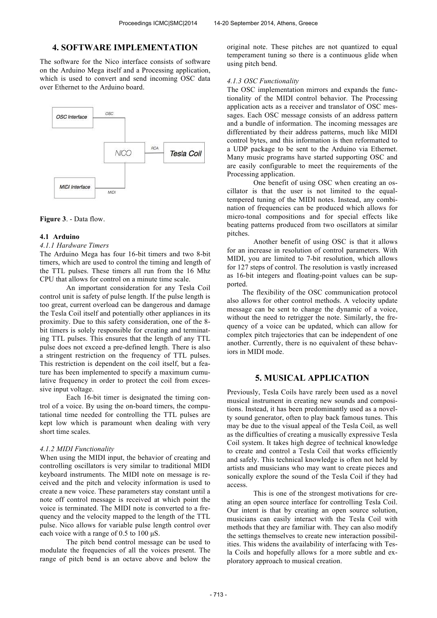## **4. SOFTWARE IMPLEMENTATION**

The software for the Nico interface consists of software on the Arduino Mega itself and a Processing application, which is used to convert and send incoming OSC data over Ethernet to the Arduino board.



**Figure 3**. - Data flow.

#### **4.1 Arduino**

## *4.1.1 Hardware Timers*

The Arduino Mega has four 16-bit timers and two 8-bit timers, which are used to control the timing and length of the TTL pulses. These timers all run from the 16 Mhz CPU that allows for control on a minute time scale.

An important consideration for any Tesla Coil control unit is safety of pulse length. If the pulse length is too great, current overload can be dangerous and damage the Tesla Coil itself and potentially other appliances in its proximity. Due to this safety consideration, one of the 8 bit timers is solely responsible for creating and terminating TTL pulses. This ensures that the length of any TTL pulse does not exceed a pre-defined length. There is also a stringent restriction on the frequency of TTL pulses. This restriction is dependent on the coil itself, but a feature has been implemented to specify a maximum cumulative frequency in order to protect the coil from excessive input voltage.

Each 16-bit timer is designated the timing control of a voice. By using the on-board timers, the computational time needed for controlling the TTL pulses are kept low which is paramount when dealing with very short time scales.

#### *4.1.2 MIDI Functionality*

When using the MIDI input, the behavior of creating and controlling oscillators is very similar to traditional MIDI keyboard instruments. The MIDI note on message is received and the pitch and velocity information is used to create a new voice. These parameters stay constant until a note off control message is received at which point the voice is terminated. The MIDI note is converted to a frequency and the velocity mapped to the length of the TTL pulse. Nico allows for variable pulse length control over each voice with a range of 0.5 to 100 µS.

The pitch bend control message can be used to modulate the frequencies of all the voices present. The range of pitch bend is an octave above and below the original note. These pitches are not quantized to equal temperament tuning so there is a continuous glide when using pitch bend.

#### *4.1.3 OSC Functionality*

The OSC implementation mirrors and expands the functionality of the MIDI control behavior. The Processing application acts as a receiver and translator of OSC messages. Each OSC message consists of an address pattern and a bundle of information. The incoming messages are differentiated by their address patterns, much like MIDI control bytes, and this information is then reformatted to a UDP package to be sent to the Arduino via Ethernet. Many music programs have started supporting OSC and are easily configurable to meet the requirements of the Processing application.

One benefit of using OSC when creating an oscillator is that the user is not limited to the equaltempered tuning of the MIDI notes. Instead, any combination of frequencies can be produced which allows for micro-tonal compositions and for special effects like beating patterns produced from two oscillators at similar pitches.

Another benefit of using OSC is that it allows for an increase in resolution of control parameters. With MIDI, you are limited to 7-bit resolution, which allows for 127 steps of control. The resolution is vastly increased as 16-bit integers and floating-point values can be supported.

The flexibility of the OSC communication protocol also allows for other control methods. A velocity update message can be sent to change the dynamic of a voice, without the need to retrigger the note. Similarly, the frequency of a voice can be updated, which can allow for complex pitch trajectories that can be independent of one another. Currently, there is no equivalent of these behaviors in MIDI mode.

## **5. MUSICAL APPLICATION**

Previously, Tesla Coils have rarely been used as a novel musical instrument in creating new sounds and compositions. Instead, it has been predominantly used as a novelty sound generator, often to play back famous tunes. This may be due to the visual appeal of the Tesla Coil, as well as the difficulties of creating a musically expressive Tesla Coil system. It takes high degree of technical knowledge to create and control a Tesla Coil that works efficiently and safely. This technical knowledge is often not held by artists and musicians who may want to create pieces and sonically explore the sound of the Tesla Coil if they had access.

This is one of the strongest motivations for creating an open source interface for controlling Tesla Coil. Our intent is that by creating an open source solution, musicians can easily interact with the Tesla Coil with methods that they are familiar with. They can also modify the settings themselves to create new interaction possibilities. This widens the availability of interfacing with Tesla Coils and hopefully allows for a more subtle and exploratory approach to musical creation.